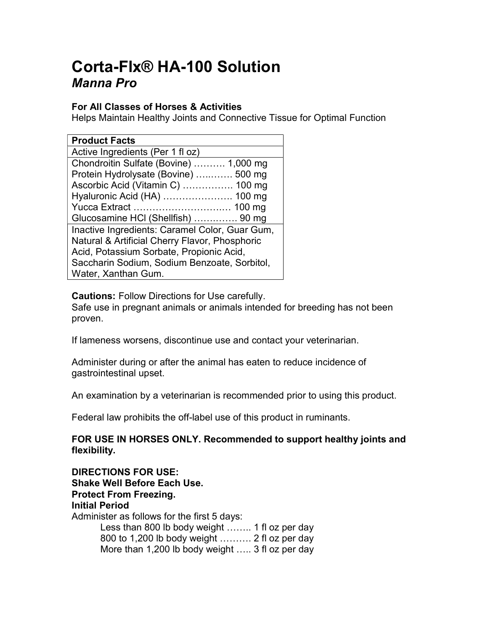# Corta-Flx® HA-100 Solution Manna Pro

## For All Classes of Horses & Activities

Helps Maintain Healthy Joints and Connective Tissue for Optimal Function

| <b>Product Facts</b>                           |
|------------------------------------------------|
| Active Ingredients (Per 1 fl oz)               |
| Chondroitin Sulfate (Bovine)  1,000 mg         |
| Protein Hydrolysate (Bovine)  500 mg           |
| Ascorbic Acid (Vitamin C)  100 mg              |
| Hyaluronic Acid (HA)  100 mg                   |
|                                                |
| Glucosamine HCI (Shellfish)  90 mg             |
| Inactive Ingredients: Caramel Color, Guar Gum, |
| Natural & Artificial Cherry Flavor, Phosphoric |
| Acid, Potassium Sorbate, Propionic Acid,       |
| Saccharin Sodium, Sodium Benzoate, Sorbitol,   |
| Water, Xanthan Gum.                            |

Cautions: Follow Directions for Use carefully.

Safe use in pregnant animals or animals intended for breeding has not been proven.

If lameness worsens, discontinue use and contact your veterinarian.

Administer during or after the animal has eaten to reduce incidence of gastrointestinal upset.

An examination by a veterinarian is recommended prior to using this product.

Federal law prohibits the off-label use of this product in ruminants.

## FOR USE IN HORSES ONLY. Recommended to support healthy joints and flexibility.

| <b>DIRECTIONS FOR USE:</b>                      |
|-------------------------------------------------|
| <b>Shake Well Before Each Use.</b>              |
| <b>Protect From Freezing.</b>                   |
| <b>Initial Period</b>                           |
| Administer as follows for the first 5 days:     |
| Less than 800 lb body weight  1 fl oz per day   |
| 800 to 1,200 lb body weight  2 fl oz per day    |
| More than 1,200 lb body weight  3 fl oz per day |